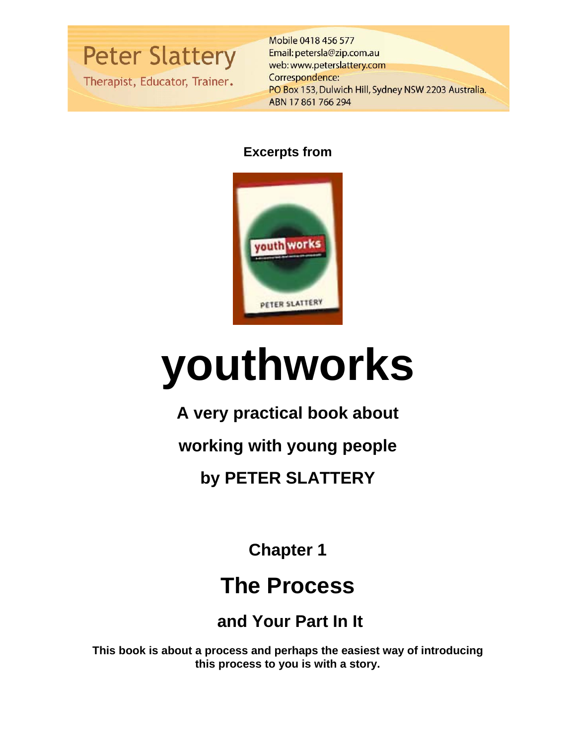**Peter Slattery** 

Therapist, Educator, Trainer.

Mobile 0418 456 577 Email: petersla@zip.com.au web: www.peterslattery.com Correspondence: PO Box 153, Dulwich Hill, Sydney NSW 2203 Australia. ABN 17861766294

# **Excerpts from**



# **youthworks**

**A very practical book about** 

**working with young people** 

**by PETER SLATTERY** 

**Chapter 1** 

# **The Process**

 **and Your Part In It** 

**This book is about a process and perhaps the easiest way of introducing this process to you is with a story.**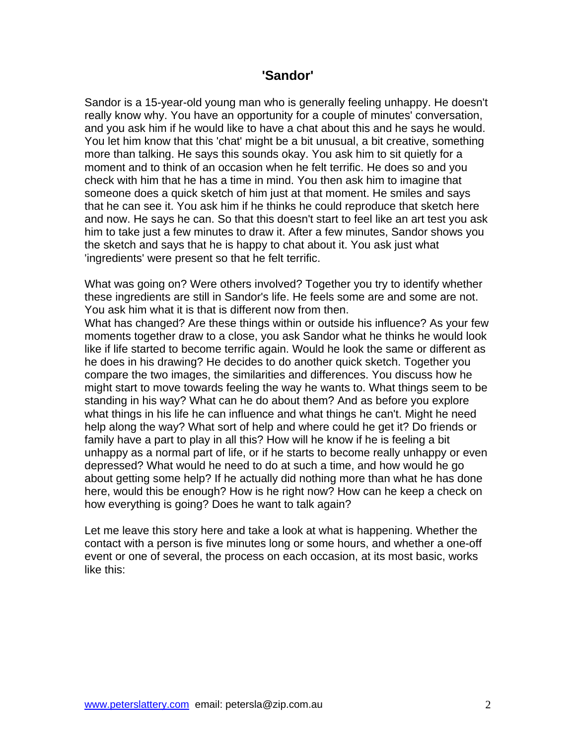#### **'Sandor'**

Sandor is a 15-year-old young man who is generally feeling unhappy. He doesn't really know why. You have an opportunity for a couple of minutes' conversation, and you ask him if he would like to have a chat about this and he says he would. You let him know that this 'chat' might be a bit unusual, a bit creative, something more than talking. He says this sounds okay. You ask him to sit quietly for a moment and to think of an occasion when he felt terrific. He does so and you check with him that he has a time in mind. You then ask him to imagine that someone does a quick sketch of him just at that moment. He smiles and says that he can see it. You ask him if he thinks he could reproduce that sketch here and now. He says he can. So that this doesn't start to feel like an art test you ask him to take just a few minutes to draw it. After a few minutes, Sandor shows you the sketch and says that he is happy to chat about it. You ask just what 'ingredients' were present so that he felt terrific.

What was going on? Were others involved? Together you try to identify whether these ingredients are still in Sandor's life. He feels some are and some are not. You ask him what it is that is different now from then.

What has changed? Are these things within or outside his influence? As your few moments together draw to a close, you ask Sandor what he thinks he would look like if life started to become terrific again. Would he look the same or different as he does in his drawing? He decides to do another quick sketch. Together you compare the two images, the similarities and differences. You discuss how he might start to move towards feeling the way he wants to. What things seem to be standing in his way? What can he do about them? And as before you explore what things in his life he can influence and what things he can't. Might he need help along the way? What sort of help and where could he get it? Do friends or family have a part to play in all this? How will he know if he is feeling a bit unhappy as a normal part of life, or if he starts to become really unhappy or even depressed? What would he need to do at such a time, and how would he go about getting some help? If he actually did nothing more than what he has done here, would this be enough? How is he right now? How can he keep a check on how everything is going? Does he want to talk again?

Let me leave this story here and take a look at what is happening. Whether the contact with a person is five minutes long or some hours, and whether a one-off event or one of several, the process on each occasion, at its most basic, works like this: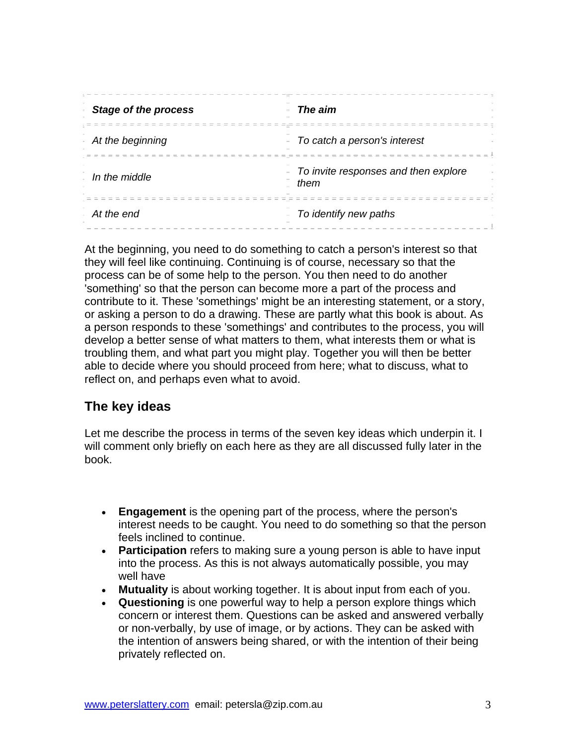| <b>Stage of the process</b> | The aim                                      |
|-----------------------------|----------------------------------------------|
| At the beginning<br>$\sim$  | To catch a person's interest                 |
| In the middle               | To invite responses and then explore<br>them |
| At the end                  | To identify new paths                        |

At the beginning, you need to do something to catch a person's interest so that they will feel like continuing. Continuing is of course, necessary so that the process can be of some help to the person. You then need to do another 'something' so that the person can become more a part of the process and contribute to it. These 'somethings' might be an interesting statement, or a story, or asking a person to do a drawing. These are partly what this book is about. As a person responds to these 'somethings' and contributes to the process, you will develop a better sense of what matters to them, what interests them or what is troubling them, and what part you might play. Together you will then be better able to decide where you should proceed from here; what to discuss, what to reflect on, and perhaps even what to avoid.

# **The key ideas**

Let me describe the process in terms of the seven key ideas which underpin it. I will comment only briefly on each here as they are all discussed fully later in the book.

- **Engagement** is the opening part of the process, where the person's interest needs to be caught. You need to do something so that the person feels inclined to continue.
- **Participation** refers to making sure a young person is able to have input into the process. As this is not always automatically possible, you may well have
- **Mutuality** is about working together. It is about input from each of you.
- **Questioning** is one powerful way to help a person explore things which concern or interest them. Questions can be asked and answered verbally or non-verbally, by use of image, or by actions. They can be asked with the intention of answers being shared, or with the intention of their being privately reflected on.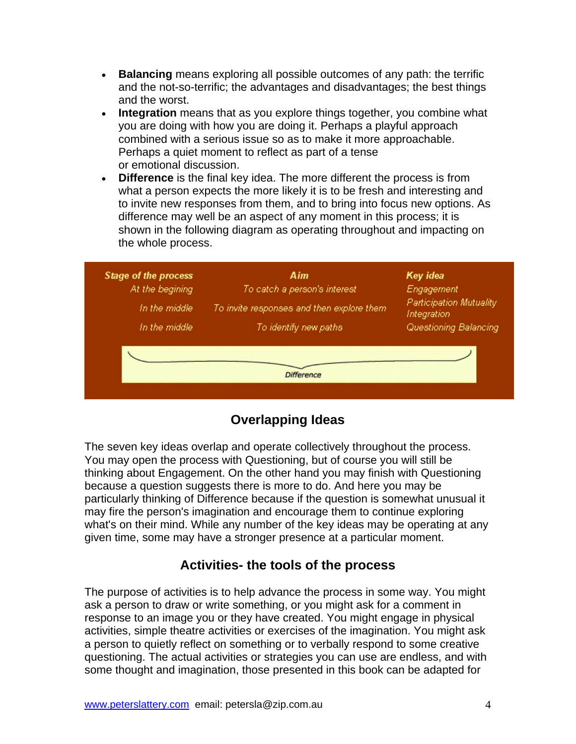- **Balancing** means exploring all possible outcomes of any path: the terrific and the not-so-terrific; the advantages and disadvantages; the best things and the worst.
- **Integration** means that as you explore things together, you combine what you are doing with how you are doing it. Perhaps a playful approach combined with a serious issue so as to make it more approachable. Perhaps a quiet moment to reflect as part of a tense or emotional discussion.
- **Difference** is the final key idea. The more different the process is from what a person expects the more likely it is to be fresh and interesting and to invite new responses from them, and to bring into focus new options. As difference may well be an aspect of any moment in this process; it is shown in the following diagram as operating throughout and impacting on the whole process.

|                 |                                           | Key idea                                      |
|-----------------|-------------------------------------------|-----------------------------------------------|
| At the begining | To catch a person's interest              | Engagement                                    |
| In the middle   | To invite responses and then explore them | <b>Participation Mutuality</b><br>Integration |
| In the middle   | To identify new paths                     | Questioning Balancing                         |
|                 |                                           |                                               |

# **Overlapping Ideas**

The seven key ideas overlap and operate collectively throughout the process. You may open the process with Questioning, but of course you will still be thinking about Engagement. On the other hand you may finish with Questioning because a question suggests there is more to do. And here you may be particularly thinking of Difference because if the question is somewhat unusual it may fire the person's imagination and encourage them to continue exploring what's on their mind. While any number of the key ideas may be operating at any given time, some may have a stronger presence at a particular moment.

# **Activities- the tools of the process**

The purpose of activities is to help advance the process in some way. You might ask a person to draw or write something, or you might ask for a comment in response to an image you or they have created. You might engage in physical activities, simple theatre activities or exercises of the imagination. You might ask a person to quietly reflect on something or to verbally respond to some creative questioning. The actual activities or strategies you can use are endless, and with some thought and imagination, those presented in this book can be adapted for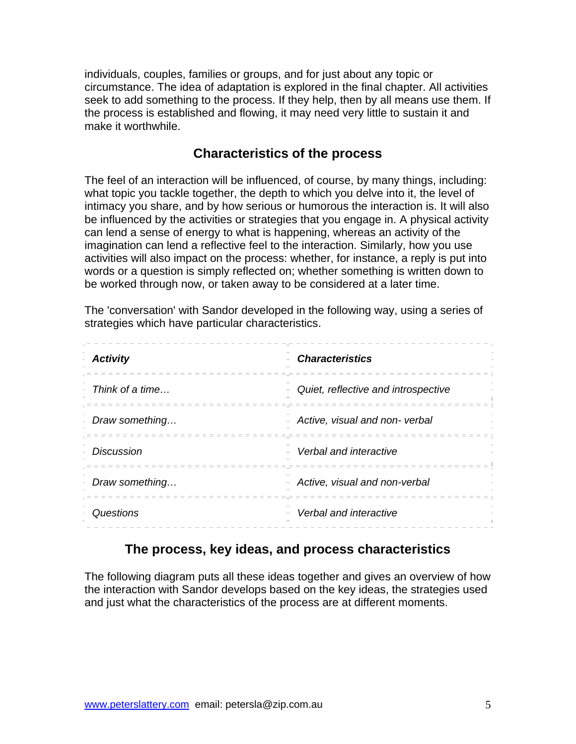individuals, couples, families or groups, and for just about any topic or circumstance. The idea of adaptation is explored in the final chapter. All activities seek to add something to the process. If they help, then by all means use them. If the process is established and flowing, it may need very little to sustain it and make it worthwhile.

#### **Characteristics of the process**

The feel of an interaction will be influenced, of course, by many things, including: what topic you tackle together, the depth to which you delve into it, the level of intimacy you share, and by how serious or humorous the interaction is. It will also be influenced by the activities or strategies that you engage in. A physical activity can lend a sense of energy to what is happening, whereas an activity of the imagination can lend a reflective feel to the interaction. Similarly, how you use activities will also impact on the process: whether, for instance, a reply is put into words or a question is simply reflected on; whether something is written down to be worked through now, or taken away to be considered at a later time.

The 'conversation' with Sandor developed in the following way, using a series of strategies which have particular characteristics.

| <b>Activity</b>   | <b>Characteristics</b>                             |
|-------------------|----------------------------------------------------|
| Think of a time   | Quiet, reflective and introspective                |
| Draw something    | Active, visual and non-verbal<br>$\equiv$ $\equiv$ |
| <b>Discussion</b> | Verbal and interactive                             |
| Draw something    | Active, visual and non-verbal                      |
| Questions         | Verbal and interactive                             |

#### **The process, key ideas, and process characteristics**

The following diagram puts all these ideas together and gives an overview of how the interaction with Sandor develops based on the key ideas, the strategies used and just what the characteristics of the process are at different moments.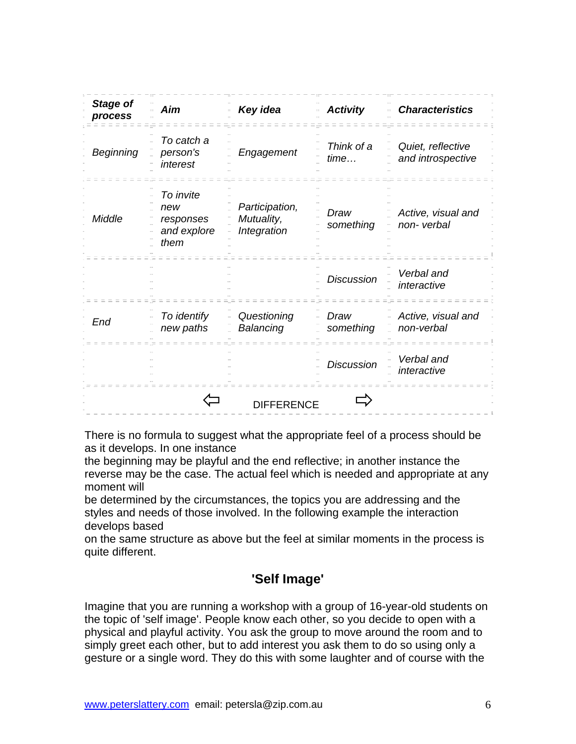| <b>Stage of</b><br>process | Aim                                                  | Key idea                                    | <b>Activity</b>    | <b>Characteristics</b>                 |
|----------------------------|------------------------------------------------------|---------------------------------------------|--------------------|----------------------------------------|
| <b>Beginning</b>           | To catch a<br>person's<br>interest                   | Engagement                                  | Think of a<br>time | Quiet, reflective<br>and introspective |
| Middle                     | To invite<br>new<br>responses<br>and explore<br>them | Participation,<br>Mutuality,<br>Integration | Draw<br>something  | Active, visual and<br>non-verbal       |
|                            |                                                      |                                             | <b>Discussion</b>  | Verbal and<br>interactive              |
| End                        | To identify<br>new paths                             | Questioning<br>Balancing                    | Draw<br>something  | Active, visual and<br>non-verbal       |
|                            |                                                      |                                             | <b>Discussion</b>  | Verbal and<br>interactive              |
|                            |                                                      | <b>DIFFERENCE</b>                           |                    |                                        |

There is no formula to suggest what the appropriate feel of a process should be as it develops. In one instance

the beginning may be playful and the end reflective; in another instance the reverse may be the case. The actual feel which is needed and appropriate at any moment will

be determined by the circumstances, the topics you are addressing and the styles and needs of those involved. In the following example the interaction develops based

on the same structure as above but the feel at similar moments in the process is quite different.

# **'Self Image'**

Imagine that you are running a workshop with a group of 16-year-old students on the topic of 'self image'. People know each other, so you decide to open with a physical and playful activity. You ask the group to move around the room and to simply greet each other, but to add interest you ask them to do so using only a gesture or a single word. They do this with some laughter and of course with the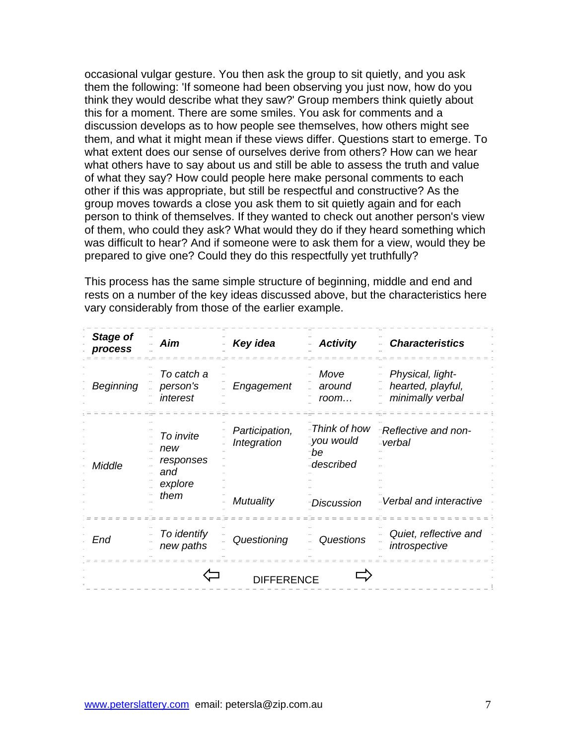occasional vulgar gesture. You then ask the group to sit quietly, and you ask them the following: 'If someone had been observing you just now, how do you think they would describe what they saw?' Group members think quietly about this for a moment. There are some smiles. You ask for comments and a discussion develops as to how people see themselves, how others might see them, and what it might mean if these views differ. Questions start to emerge. To what extent does our sense of ourselves derive from others? How can we hear what others have to say about us and still be able to assess the truth and value of what they say? How could people here make personal comments to each other if this was appropriate, but still be respectful and constructive? As the group moves towards a close you ask them to sit quietly again and for each person to think of themselves. If they wanted to check out another person's view of them, who could they ask? What would they do if they heard something which was difficult to hear? And if someone were to ask them for a view, would they be prepared to give one? Could they do this respectfully yet truthfully?

This process has the same simple structure of beginning, middle and end and rests on a number of the key ideas discussed above, but the characteristics here vary considerably from those of the earlier example.

| <b>Stage of</b><br>process | Aim                                                     | Key idea                                          | <b>Activity</b>                                                 | <b>Characteristics</b>                                     |
|----------------------------|---------------------------------------------------------|---------------------------------------------------|-----------------------------------------------------------------|------------------------------------------------------------|
| Beginning                  | To catch a<br>person's<br>interest                      | Engagement                                        | Move<br>around<br>room                                          | Physical, light-<br>hearted, playful,<br>minimally verbal  |
| Middle                     | To invite<br>new<br>responses<br>and<br>explore<br>them | Participation,<br>Integration<br><b>Mutuality</b> | - Think of how<br>_you would<br>Ъe<br>-described<br>-Discussion | "Reflective and non-<br>-verbal<br>-Verbal and interactive |
| End                        | To identify<br>new paths                                | Questioning                                       | Questions                                                       | Quiet, reflective and<br>introspective                     |
| <b>DIFFERENCE</b>          |                                                         |                                                   |                                                                 |                                                            |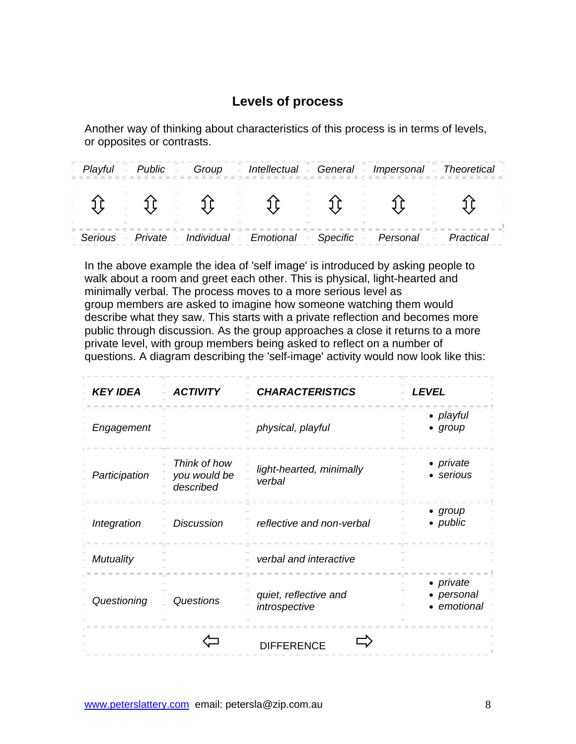# **Levels of process**

Another way of thinking about characteristics of this process is in terms of levels, or opposites or contrasts.

|  | Playful Public Group - Intellectual - General - Impersonal - Theoretical     |  |  |
|--|------------------------------------------------------------------------------|--|--|
|  |                                                                              |  |  |
|  | Serious - Private - Individual - Emotional - Specific - Personal - Practical |  |  |

In the above example the idea of 'self image' is introduced by asking people to walk about a room and greet each other. This is physical, light-hearted and minimally verbal. The process moves to a more serious level as group members are asked to imagine how someone watching them would describe what they saw. This starts with a private reflection and becomes more public through discussion. As the group approaches a close it returns to a more private level, with group members being asked to reflect on a number of questions. A diagram describing the 'self-image' activity would now look like this:

| <b>KEY IDEA</b> | <b>ACTIVITY</b>                           | <b>CHARACTERISTICS</b>                 | <b>LEVEL</b>                                  |
|-----------------|-------------------------------------------|----------------------------------------|-----------------------------------------------|
| Engagement      |                                           | physical, playful                      | • playful<br>• $group$                        |
| Participation   | Think of how<br>you would be<br>described | light-hearted, minimally<br>verbal     | • private<br>• serious                        |
| Integration     | <b>Discussion</b>                         | reflective and non-verbal              | • $group$<br>• public                         |
| Mutuality       |                                           | verbal and interactive                 |                                               |
| Questioning     | Questions                                 | quiet, reflective and<br>introspective | • <i>private</i><br>• personal<br>• emotional |
|                 |                                           | <b>DIFFERENCE</b>                      |                                               |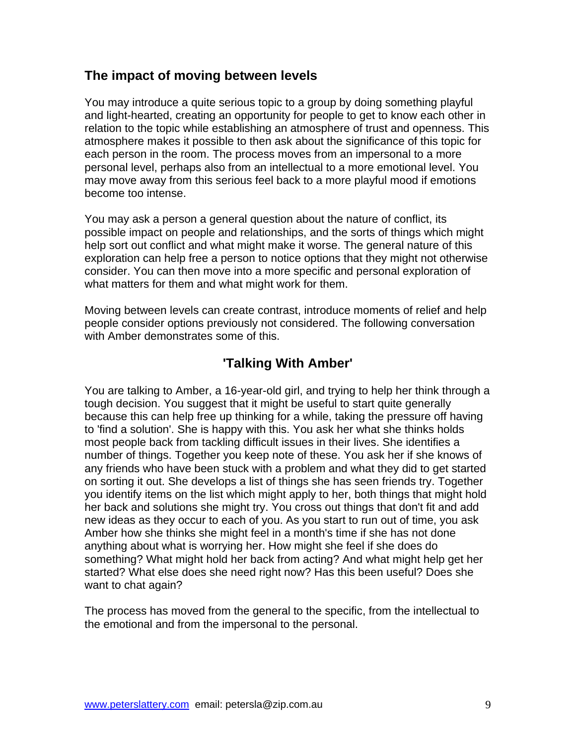#### **The impact of moving between levels**

You may introduce a quite serious topic to a group by doing something playful and light-hearted, creating an opportunity for people to get to know each other in relation to the topic while establishing an atmosphere of trust and openness. This atmosphere makes it possible to then ask about the significance of this topic for each person in the room. The process moves from an impersonal to a more personal level, perhaps also from an intellectual to a more emotional level. You may move away from this serious feel back to a more playful mood if emotions become too intense.

You may ask a person a general question about the nature of conflict, its possible impact on people and relationships, and the sorts of things which might help sort out conflict and what might make it worse. The general nature of this exploration can help free a person to notice options that they might not otherwise consider. You can then move into a more specific and personal exploration of what matters for them and what might work for them.

Moving between levels can create contrast, introduce moments of relief and help people consider options previously not considered. The following conversation with Amber demonstrates some of this.

#### **'Talking With Amber'**

You are talking to Amber, a 16-year-old girl, and trying to help her think through a tough decision. You suggest that it might be useful to start quite generally because this can help free up thinking for a while, taking the pressure off having to 'find a solution'. She is happy with this. You ask her what she thinks holds most people back from tackling difficult issues in their lives. She identifies a number of things. Together you keep note of these. You ask her if she knows of any friends who have been stuck with a problem and what they did to get started on sorting it out. She develops a list of things she has seen friends try. Together you identify items on the list which might apply to her, both things that might hold her back and solutions she might try. You cross out things that don't fit and add new ideas as they occur to each of you. As you start to run out of time, you ask Amber how she thinks she might feel in a month's time if she has not done anything about what is worrying her. How might she feel if she does do something? What might hold her back from acting? And what might help get her started? What else does she need right now? Has this been useful? Does she want to chat again?

The process has moved from the general to the specific, from the intellectual to the emotional and from the impersonal to the personal.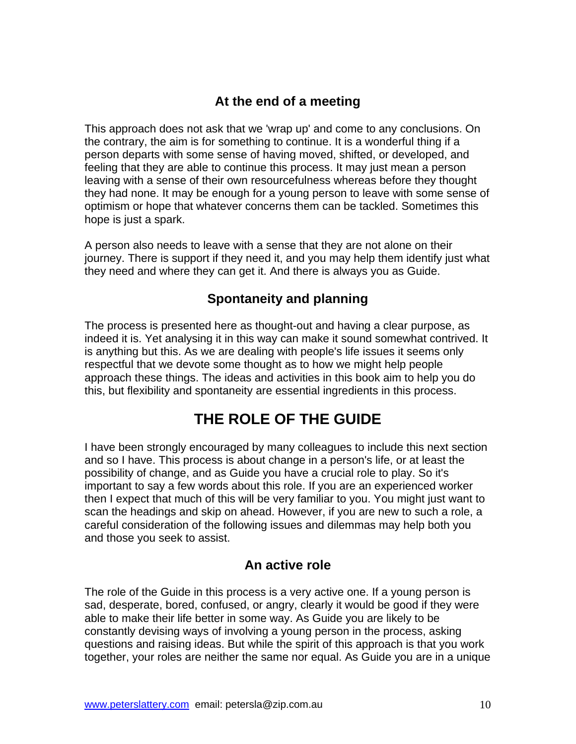# **At the end of a meeting**

This approach does not ask that we 'wrap up' and come to any conclusions. On the contrary, the aim is for something to continue. It is a wonderful thing if a person departs with some sense of having moved, shifted, or developed, and feeling that they are able to continue this process. It may just mean a person leaving with a sense of their own resourcefulness whereas before they thought they had none. It may be enough for a young person to leave with some sense of optimism or hope that whatever concerns them can be tackled. Sometimes this hope is just a spark.

A person also needs to leave with a sense that they are not alone on their journey. There is support if they need it, and you may help them identify just what they need and where they can get it. And there is always you as Guide.

# **Spontaneity and planning**

The process is presented here as thought-out and having a clear purpose, as indeed it is. Yet analysing it in this way can make it sound somewhat contrived. It is anything but this. As we are dealing with people's life issues it seems only respectful that we devote some thought as to how we might help people approach these things. The ideas and activities in this book aim to help you do this, but flexibility and spontaneity are essential ingredients in this process.

# **THE ROLE OF THE GUIDE**

I have been strongly encouraged by many colleagues to include this next section and so I have. This process is about change in a person's life, or at least the possibility of change, and as Guide you have a crucial role to play. So it's important to say a few words about this role. If you are an experienced worker then I expect that much of this will be very familiar to you. You might just want to scan the headings and skip on ahead. However, if you are new to such a role, a careful consideration of the following issues and dilemmas may help both you and those you seek to assist.

#### **An active role**

The role of the Guide in this process is a very active one. If a young person is sad, desperate, bored, confused, or angry, clearly it would be good if they were able to make their life better in some way. As Guide you are likely to be constantly devising ways of involving a young person in the process, asking questions and raising ideas. But while the spirit of this approach is that you work together, your roles are neither the same nor equal. As Guide you are in a unique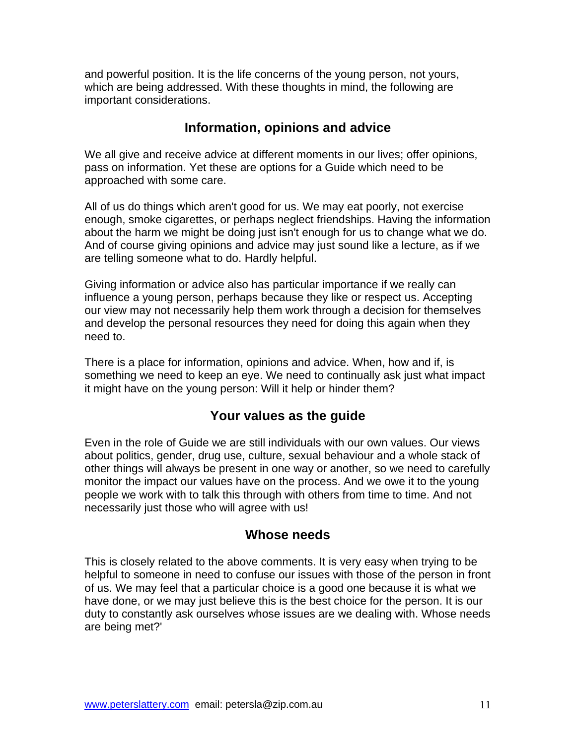and powerful position. It is the life concerns of the young person, not yours, which are being addressed. With these thoughts in mind, the following are important considerations.

#### **Information, opinions and advice**

We all give and receive advice at different moments in our lives; offer opinions, pass on information. Yet these are options for a Guide which need to be approached with some care.

All of us do things which aren't good for us. We may eat poorly, not exercise enough, smoke cigarettes, or perhaps neglect friendships. Having the information about the harm we might be doing just isn't enough for us to change what we do. And of course giving opinions and advice may just sound like a lecture, as if we are telling someone what to do. Hardly helpful.

Giving information or advice also has particular importance if we really can influence a young person, perhaps because they like or respect us. Accepting our view may not necessarily help them work through a decision for themselves and develop the personal resources they need for doing this again when they need to.

There is a place for information, opinions and advice. When, how and if, is something we need to keep an eye. We need to continually ask just what impact it might have on the young person: Will it help or hinder them?

# **Your values as the guide**

Even in the role of Guide we are still individuals with our own values. Our views about politics, gender, drug use, culture, sexual behaviour and a whole stack of other things will always be present in one way or another, so we need to carefully monitor the impact our values have on the process. And we owe it to the young people we work with to talk this through with others from time to time. And not necessarily just those who will agree with us!

#### **Whose needs**

This is closely related to the above comments. It is very easy when trying to be helpful to someone in need to confuse our issues with those of the person in front of us. We may feel that a particular choice is a good one because it is what we have done, or we may just believe this is the best choice for the person. It is our duty to constantly ask ourselves whose issues are we dealing with. Whose needs are being met?'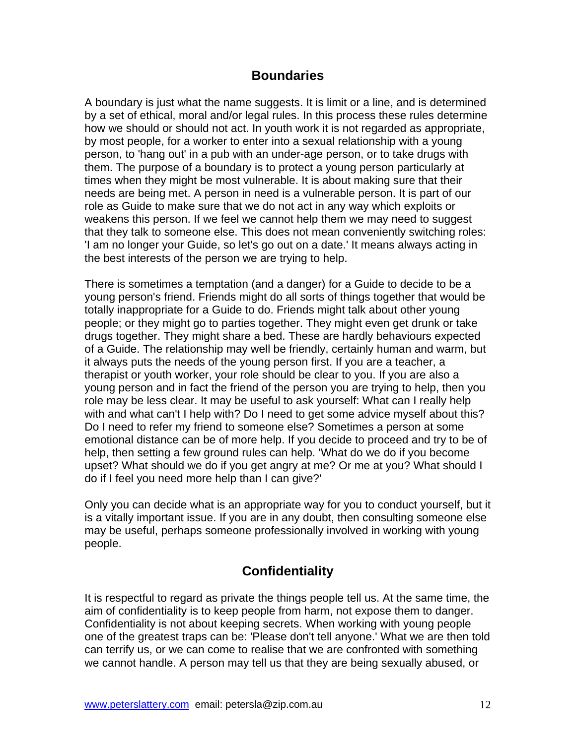#### **Boundaries**

A boundary is just what the name suggests. It is limit or a line, and is determined by a set of ethical, moral and/or legal rules. In this process these rules determine how we should or should not act. In youth work it is not regarded as appropriate, by most people, for a worker to enter into a sexual relationship with a young person, to 'hang out' in a pub with an under-age person, or to take drugs with them. The purpose of a boundary is to protect a young person particularly at times when they might be most vulnerable. It is about making sure that their needs are being met. A person in need is a vulnerable person. It is part of our role as Guide to make sure that we do not act in any way which exploits or weakens this person. If we feel we cannot help them we may need to suggest that they talk to someone else. This does not mean conveniently switching roles: 'I am no longer your Guide, so let's go out on a date.' It means always acting in the best interests of the person we are trying to help.

There is sometimes a temptation (and a danger) for a Guide to decide to be a young person's friend. Friends might do all sorts of things together that would be totally inappropriate for a Guide to do. Friends might talk about other young people; or they might go to parties together. They might even get drunk or take drugs together. They might share a bed. These are hardly behaviours expected of a Guide. The relationship may well be friendly, certainly human and warm, but it always puts the needs of the young person first. If you are a teacher, a therapist or youth worker, your role should be clear to you. If you are also a young person and in fact the friend of the person you are trying to help, then you role may be less clear. It may be useful to ask yourself: What can I really help with and what can't I help with? Do I need to get some advice myself about this? Do I need to refer my friend to someone else? Sometimes a person at some emotional distance can be of more help. If you decide to proceed and try to be of help, then setting a few ground rules can help. 'What do we do if you become upset? What should we do if you get angry at me? Or me at you? What should I do if I feel you need more help than I can give?'

Only you can decide what is an appropriate way for you to conduct yourself, but it is a vitally important issue. If you are in any doubt, then consulting someone else may be useful, perhaps someone professionally involved in working with young people.

# **Confidentiality**

It is respectful to regard as private the things people tell us. At the same time, the aim of confidentiality is to keep people from harm, not expose them to danger. Confidentiality is not about keeping secrets. When working with young people one of the greatest traps can be: 'Please don't tell anyone.' What we are then told can terrify us, or we can come to realise that we are confronted with something we cannot handle. A person may tell us that they are being sexually abused, or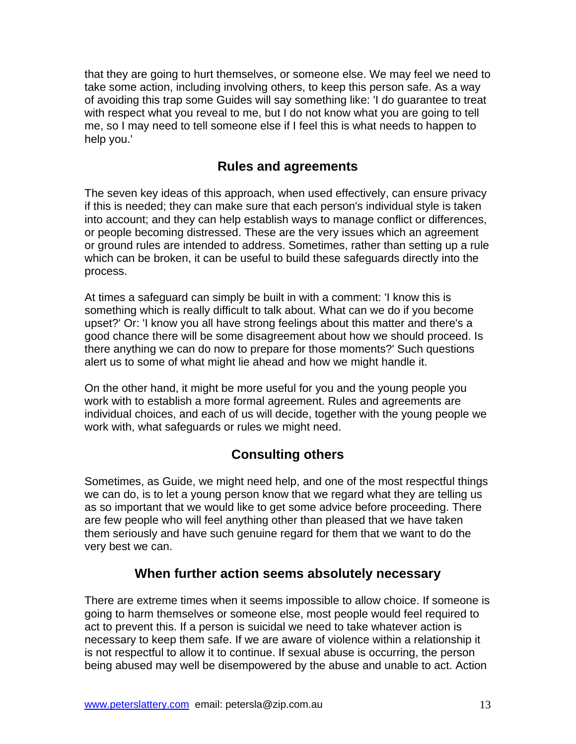that they are going to hurt themselves, or someone else. We may feel we need to take some action, including involving others, to keep this person safe. As a way of avoiding this trap some Guides will say something like: 'I do guarantee to treat with respect what you reveal to me, but I do not know what you are going to tell me, so I may need to tell someone else if I feel this is what needs to happen to help you.'

#### **Rules and agreements**

The seven key ideas of this approach, when used effectively, can ensure privacy if this is needed; they can make sure that each person's individual style is taken into account; and they can help establish ways to manage conflict or differences, or people becoming distressed. These are the very issues which an agreement or ground rules are intended to address. Sometimes, rather than setting up a rule which can be broken, it can be useful to build these safeguards directly into the process.

At times a safeguard can simply be built in with a comment: 'I know this is something which is really difficult to talk about. What can we do if you become upset?' Or: 'I know you all have strong feelings about this matter and there's a good chance there will be some disagreement about how we should proceed. Is there anything we can do now to prepare for those moments?' Such questions alert us to some of what might lie ahead and how we might handle it.

On the other hand, it might be more useful for you and the young people you work with to establish a more formal agreement. Rules and agreements are individual choices, and each of us will decide, together with the young people we work with, what safeguards or rules we might need.

# **Consulting others**

Sometimes, as Guide, we might need help, and one of the most respectful things we can do, is to let a young person know that we regard what they are telling us as so important that we would like to get some advice before proceeding. There are few people who will feel anything other than pleased that we have taken them seriously and have such genuine regard for them that we want to do the very best we can.

#### **When further action seems absolutely necessary**

There are extreme times when it seems impossible to allow choice. If someone is going to harm themselves or someone else, most people would feel required to act to prevent this. If a person is suicidal we need to take whatever action is necessary to keep them safe. If we are aware of violence within a relationship it is not respectful to allow it to continue. If sexual abuse is occurring, the person being abused may well be disempowered by the abuse and unable to act. Action